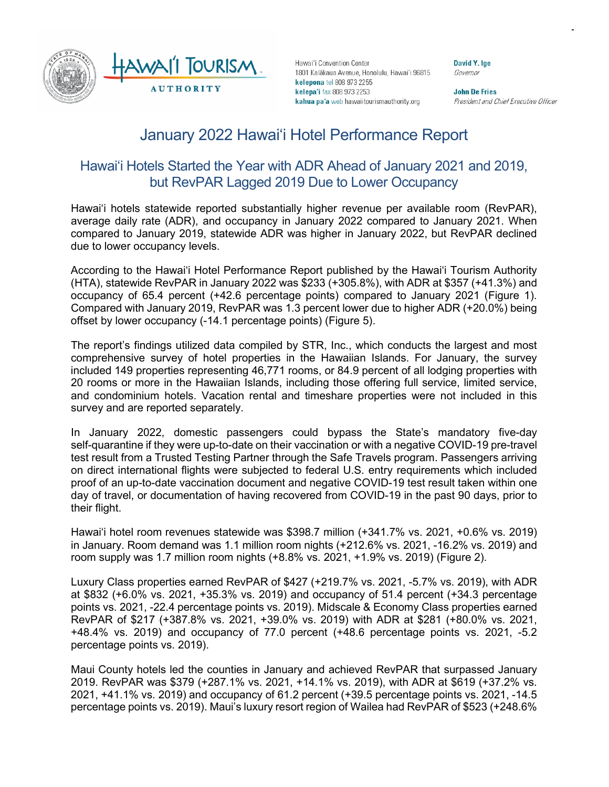

Hawai'i Convention Center 1801 Kalākaua Avenue, Honolulu, Hawai'i 96815 kelepona tel 808 973 2255 kelepa'i fax 808 973 2253 kahua pa'a web hawaiitourismauthority.org

**David Y. Ige** Governor

**John De Fries** President and Chief Executive Officer

# January 2022 Hawai'i Hotel Performance Report

## Hawai'i Hotels Started the Year with ADR Ahead of January 2021 and 2019, but RevPAR Lagged 2019 Due to Lower Occupancy

Hawai'i hotels statewide reported substantially higher revenue per available room (RevPAR), average daily rate (ADR), and occupancy in January 2022 compared to January 2021. When compared to January 2019, statewide ADR was higher in January 2022, but RevPAR declined due to lower occupancy levels.

According to the Hawai'i Hotel Performance Report published by the Hawai'i Tourism Authority (HTA), statewide RevPAR in January 2022 was \$233 (+305.8%), with ADR at \$357 (+41.3%) and occupancy of 65.4 percent (+42.6 percentage points) compared to January 2021 (Figure 1). Compared with January 2019, RevPAR was 1.3 percent lower due to higher ADR (+20.0%) being offset by lower occupancy (-14.1 percentage points) (Figure 5).

The report's findings utilized data compiled by STR, Inc., which conducts the largest and most comprehensive survey of hotel properties in the Hawaiian Islands. For January, the survey included 149 properties representing 46,771 rooms, or 84.9 percent of all lodging properties with 20 rooms or more in the Hawaiian Islands, including those offering full service, limited service, and condominium hotels. Vacation rental and timeshare properties were not included in this survey and are reported separately.

In January 2022, domestic passengers could bypass the State's mandatory five-day self-quarantine if they were up-to-date on their vaccination or with a negative COVID-19 pre-travel test result from a Trusted Testing Partner through the Safe Travels program. Passengers arriving on direct international flights were subjected to federal U.S. entry requirements which included proof of an up-to-date vaccination document and negative COVID-19 test result taken within one day of travel, or documentation of having recovered from COVID-19 in the past 90 days, prior to their flight.

Hawai'i hotel room revenues statewide was \$398.7 million (+341.7% vs. 2021, +0.6% vs. 2019) in January. Room demand was 1.1 million room nights (+212.6% vs. 2021, -16.2% vs. 2019) and room supply was 1.7 million room nights (+8.8% vs. 2021, +1.9% vs. 2019) (Figure 2).

Luxury Class properties earned RevPAR of \$427 (+219.7% vs. 2021, -5.7% vs. 2019), with ADR at \$832 (+6.0% vs. 2021, +35.3% vs. 2019) and occupancy of 51.4 percent (+34.3 percentage points vs. 2021, -22.4 percentage points vs. 2019). Midscale & Economy Class properties earned RevPAR of \$217 (+387.8% vs. 2021, +39.0% vs. 2019) with ADR at \$281 (+80.0% vs. 2021, +48.4% vs. 2019) and occupancy of 77.0 percent (+48.6 percentage points vs. 2021, -5.2 percentage points vs. 2019).

Maui County hotels led the counties in January and achieved RevPAR that surpassed January 2019. RevPAR was \$379 (+287.1% vs. 2021, +14.1% vs. 2019), with ADR at \$619 (+37.2% vs. 2021, +41.1% vs. 2019) and occupancy of 61.2 percent (+39.5 percentage points vs. 2021, -14.5 percentage points vs. 2019). Maui's luxury resort region of Wailea had RevPAR of \$523 (+248.6%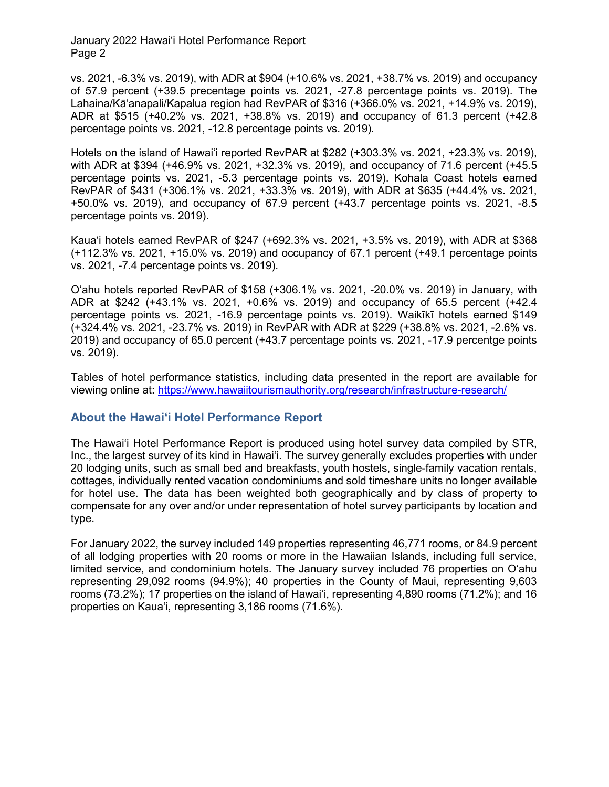vs. 2021, -6.3% vs. 2019), with ADR at \$904 (+10.6% vs. 2021, +38.7% vs. 2019) and occupancy of 57.9 percent (+39.5 precentage points vs. 2021, -27.8 percentage points vs. 2019). The Lahaina/Kā'anapali/Kapalua region had RevPAR of \$316 (+366.0% vs. 2021, +14.9% vs. 2019), ADR at \$515 (+40.2% vs. 2021, +38.8% vs. 2019) and occupancy of 61.3 percent (+42.8 percentage points vs. 2021, -12.8 percentage points vs. 2019).

Hotels on the island of Hawai'i reported RevPAR at \$282 (+303.3% vs. 2021, +23.3% vs. 2019), with ADR at \$394 (+46.9% vs. 2021, +32.3% vs. 2019), and occupancy of 71.6 percent (+45.5 percentage points vs. 2021, -5.3 percentage points vs. 2019). Kohala Coast hotels earned RevPAR of \$431 (+306.1% vs. 2021, +33.3% vs. 2019), with ADR at \$635 (+44.4% vs. 2021, +50.0% vs. 2019), and occupancy of 67.9 percent (+43.7 percentage points vs. 2021, -8.5 percentage points vs. 2019).

Kaua'i hotels earned RevPAR of \$247 (+692.3% vs. 2021, +3.5% vs. 2019), with ADR at \$368 (+112.3% vs. 2021, +15.0% vs. 2019) and occupancy of 67.1 percent (+49.1 percentage points vs. 2021, -7.4 percentage points vs. 2019).

O'ahu hotels reported RevPAR of \$158 (+306.1% vs. 2021, -20.0% vs. 2019) in January, with ADR at \$242 (+43.1% vs. 2021, +0.6% vs. 2019) and occupancy of 65.5 percent (+42.4 percentage points vs. 2021, -16.9 percentage points vs. 2019). Waikīkī hotels earned \$149 (+324.4% vs. 2021, -23.7% vs. 2019) in RevPAR with ADR at \$229 (+38.8% vs. 2021, -2.6% vs. 2019) and occupancy of 65.0 percent (+43.7 percentage points vs. 2021, -17.9 percentge points vs. 2019).

Tables of hotel performance statistics, including data presented in the report are available for viewing online at: <https://www.hawaiitourismauthority.org/research/infrastructure-research/>

## **About the Hawai'i Hotel Performance Report**

The Hawai'i Hotel Performance Report is produced using hotel survey data compiled by STR, Inc., the largest survey of its kind in Hawai'i. The survey generally excludes properties with under 20 lodging units, such as small bed and breakfasts, youth hostels, single-family vacation rentals, cottages, individually rented vacation condominiums and sold timeshare units no longer available for hotel use. The data has been weighted both geographically and by class of property to compensate for any over and/or under representation of hotel survey participants by location and type.

For January 2022, the survey included 149 properties representing 46,771 rooms, or 84.9 percent of all lodging properties with 20 rooms or more in the Hawaiian Islands, including full service, limited service, and condominium hotels. The January survey included 76 properties on O'ahu representing 29,092 rooms (94.9%); 40 properties in the County of Maui, representing 9,603 rooms (73.2%); 17 properties on the island of Hawai'i, representing 4,890 rooms (71.2%); and 16 properties on Kaua'i, representing 3,186 rooms (71.6%).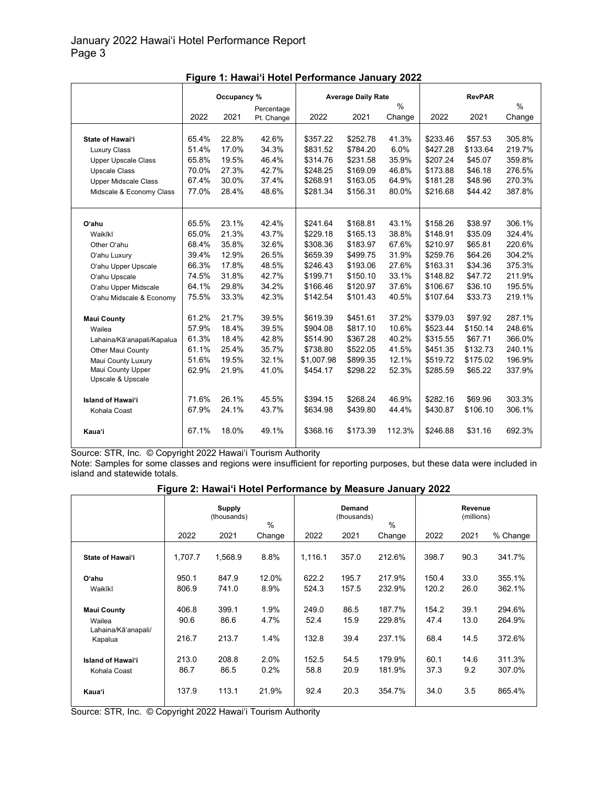|                             | Occupancy % |       |            | <b>Average Daily Rate</b> |          |        |               |          |        |
|-----------------------------|-------------|-------|------------|---------------------------|----------|--------|---------------|----------|--------|
|                             |             |       | Percentage | $\%$                      |          |        | $\frac{0}{0}$ |          |        |
|                             | 2022        | 2021  | Pt. Change | 2022                      | 2021     | Change | 2022          | 2021     | Change |
|                             |             |       |            |                           |          |        |               |          |        |
| State of Hawai'i            | 65.4%       | 22.8% | 42.6%      | \$357.22                  | \$252.78 | 41.3%  | \$233.46      | \$57.53  | 305.8% |
| <b>Luxury Class</b>         | 51.4%       | 17.0% | 34.3%      | \$831.52                  | \$784.20 | 6.0%   | \$427.28      | \$133.64 | 219.7% |
| <b>Upper Upscale Class</b>  | 65.8%       | 19.5% | 46.4%      | \$314.76                  | \$231.58 | 35.9%  | \$207.24      | \$45.07  | 359.8% |
| <b>Upscale Class</b>        | 70.0%       | 27.3% | 42.7%      | \$248.25                  | \$169.09 | 46.8%  | \$173.88      | \$46.18  | 276.5% |
| <b>Upper Midscale Class</b> | 67.4%       | 30.0% | 37.4%      | \$268.91                  | \$163.05 | 64.9%  | \$181.28      | \$48.96  | 270.3% |
| Midscale & Economy Class    | 77.0%       | 28.4% | 48.6%      | \$281.34                  | \$156.31 | 80.0%  | \$216.68      | \$44.42  | 387.8% |
|                             |             |       |            |                           |          |        |               |          |        |
|                             |             |       |            |                           |          |        |               |          |        |
| Oʻahu                       | 65.5%       | 23.1% | 42.4%      | \$241.64                  | \$168.81 | 43.1%  | \$158.26      | \$38.97  | 306.1% |
| Waikīkī                     | 65.0%       | 21.3% | 43.7%      | \$229.18                  | \$165.13 | 38.8%  | \$148.91      | \$35.09  | 324.4% |
| Other O'ahu                 | 68.4%       | 35.8% | 32.6%      | \$308.36                  | \$183.97 | 67.6%  | \$210.97      | \$65.81  | 220.6% |
| O'ahu Luxury                | 39.4%       | 12.9% | 26.5%      | \$659.39                  | \$499.75 | 31.9%  | \$259.76      | \$64.26  | 304.2% |
| O'ahu Upper Upscale         | 66.3%       | 17.8% | 48.5%      | \$246.43                  | \$193.06 | 27.6%  | \$163.31      | \$34.36  | 375.3% |
| O'ahu Upscale               | 74.5%       | 31.8% | 42.7%      | \$199.71                  | \$150.10 | 33.1%  | \$148.82      | \$47.72  | 211.9% |
| O'ahu Upper Midscale        | 64.1%       | 29.8% | 34.2%      | \$166.46                  | \$120.97 | 37.6%  | \$106.67      | \$36.10  | 195.5% |
| O'ahu Midscale & Economy    | 75.5%       | 33.3% | 42.3%      | \$142.54                  | \$101.43 | 40.5%  | \$107.64      | \$33.73  | 219.1% |
| <b>Maui County</b>          | 61.2%       | 21.7% | 39.5%      | \$619.39                  | \$451.61 | 37.2%  | \$379.03      | \$97.92  | 287.1% |
| Wailea                      | 57.9%       | 18.4% | 39.5%      | \$904.08                  | \$817.10 | 10.6%  | \$523.44      | \$150.14 | 248.6% |
| Lahaina/Kā'anapali/Kapalua  | 61.3%       | 18.4% | 42.8%      | \$514.90                  | \$367.28 | 40.2%  | \$315.55      | \$67.71  | 366.0% |
| Other Maui County           | 61.1%       | 25.4% | 35.7%      | \$738.80                  | \$522.05 | 41.5%  | \$451.35      | \$132.73 | 240.1% |
| Maui County Luxury          | 51.6%       | 19.5% | 32.1%      | \$1,007.98                | \$899.35 | 12.1%  | \$519.72      | \$175.02 | 196.9% |
| Maui County Upper           | 62.9%       | 21.9% | 41.0%      | \$454.17                  | \$298.22 | 52.3%  | \$285.59      | \$65.22  | 337.9% |
| Upscale & Upscale           |             |       |            |                           |          |        |               |          |        |
|                             |             |       |            |                           |          |        |               |          |        |
| <b>Island of Hawai'i</b>    | 71.6%       | 26.1% | 45.5%      | \$394.15                  | \$268.24 | 46.9%  | \$282.16      | \$69.96  | 303.3% |
| Kohala Coast                | 67.9%       | 24.1% | 43.7%      | \$634.98                  | \$439.80 | 44.4%  | \$430.87      | \$106.10 | 306.1% |
| Kaua'i                      | 67.1%       | 18.0% | 49.1%      | \$368.16                  | \$173.39 | 112.3% | \$246.88      | \$31.16  | 692.3% |

| Figure 1: Hawai'i Hotel Performance January 2022 |  |
|--------------------------------------------------|--|
|--------------------------------------------------|--|

Source: STR, Inc. © Copyright 2022 Hawai'i Tourism Authority

Note: Samples for some classes and regions were insufficient for reporting purposes, but these data were included in island and statewide totals.

## **Figure 2: Hawai'i Hotel Performance by Measure January 2022**

|                                                                | <b>Supply</b><br>(thousands)<br>$\%$ |                        |                      |                        | Demand<br>(thousands) | %                          | Revenue<br>(millions) |                      |                            |
|----------------------------------------------------------------|--------------------------------------|------------------------|----------------------|------------------------|-----------------------|----------------------------|-----------------------|----------------------|----------------------------|
|                                                                | 2022                                 | 2021                   | Change               | 2022                   | 2021                  | Change                     | 2022                  | 2021                 | % Change                   |
| State of Hawai'i                                               | 1,707.7                              | 1,568.9                | 8.8%                 | 1,116.1                | 357.0                 | 212.6%                     | 398.7                 | 90.3                 | 341.7%                     |
| O'ahu                                                          | 950.1                                | 847.9                  | 12.0%                | 622.2                  | 195.7                 | 217.9%                     | 150.4                 | 33.0                 | 355.1%                     |
| Waikīkī                                                        | 806.9                                | 741.0                  | 8.9%                 | 524.3                  | 157.5                 | 232.9%                     | 120.2                 | 26.0                 | 362.1%                     |
| <b>Maui County</b><br>Wailea<br>Lahaina/Kāʻanapali/<br>Kapalua | 406.8<br>90.6<br>216.7               | 399.1<br>86.6<br>213.7 | 1.9%<br>4.7%<br>1.4% | 249.0<br>52.4<br>132.8 | 86.5<br>15.9<br>39.4  | 187.7%<br>229.8%<br>237.1% | 154.2<br>47.4<br>68.4 | 39.1<br>13.0<br>14.5 | 294.6%<br>264.9%<br>372.6% |
| <b>Island of Hawai'i</b><br>Kohala Coast                       | 213.0<br>86.7                        | 208.8<br>86.5          | 2.0%<br>0.2%         | 152.5<br>58.8          | 54.5<br>20.9          | 179.9%<br>181.9%           | 60.1<br>37.3          | 14.6<br>9.2          | 311.3%<br>307.0%           |
| Kaua'i                                                         | 137.9                                | 113.1                  | 21.9%                | 92.4                   | 20.3                  | 354.7%                     | 34.0                  | 3.5                  | 865.4%                     |

Source: STR, Inc. © Copyright 2022 Hawai'i Tourism Authority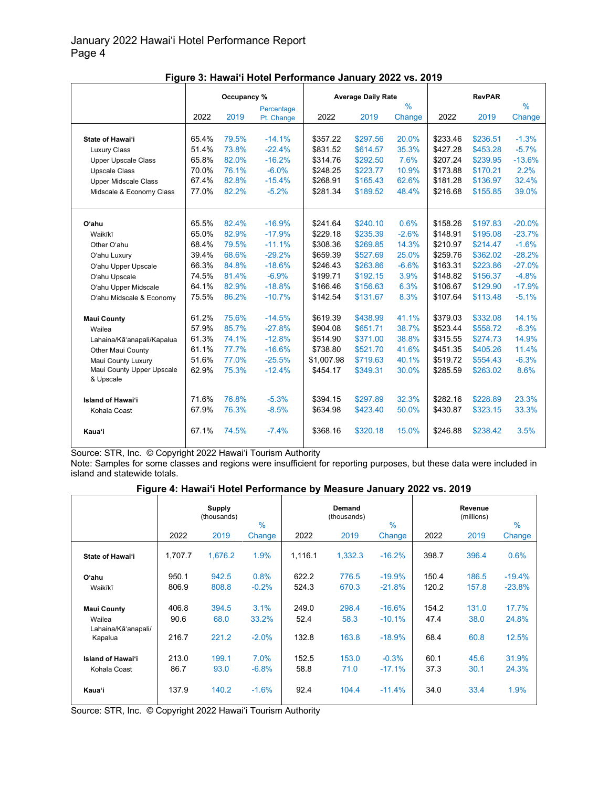|                             | Occupancy %<br>Percentage |       |            |            | <b>Average Daily Rate</b> |               |          | <b>RevPAR</b> |               |
|-----------------------------|---------------------------|-------|------------|------------|---------------------------|---------------|----------|---------------|---------------|
|                             |                           |       |            |            |                           | $\frac{0}{0}$ |          |               | $\frac{0}{0}$ |
|                             | 2022                      | 2019  | Pt. Change | 2022       | 2019                      | Change        | 2022     | 2019          | Change        |
|                             |                           |       |            |            |                           |               |          |               |               |
| State of Hawai'i            | 65.4%                     | 79.5% | $-14.1%$   | \$357.22   | \$297.56                  | 20.0%         | \$233.46 | \$236.51      | $-1.3%$       |
| <b>Luxury Class</b>         | 51.4%                     | 73.8% | $-22.4%$   | \$831.52   | \$614.57                  | 35.3%         | \$427.28 | \$453.28      | $-5.7%$       |
| <b>Upper Upscale Class</b>  | 65.8%                     | 82.0% | $-16.2%$   | \$314.76   | \$292.50                  | 7.6%          | \$207.24 | \$239.95      | $-13.6%$      |
| <b>Upscale Class</b>        | 70.0%                     | 76.1% | $-6.0%$    | \$248.25   | \$223.77                  | 10.9%         | \$173.88 | \$170.21      | 2.2%          |
| <b>Upper Midscale Class</b> | 67.4%                     | 82.8% | $-15.4%$   | \$268.91   | \$165.43                  | 62.6%         | \$181.28 | \$136.97      | 32.4%         |
| Midscale & Economy Class    | 77.0%                     | 82.2% | $-5.2%$    | \$281.34   | \$189.52                  | 48.4%         | \$216.68 | \$155.85      | 39.0%         |
|                             |                           |       |            |            |                           |               |          |               |               |
| Oʻahu                       | 65.5%                     | 82.4% | $-16.9%$   | \$241.64   | \$240.10                  | 0.6%          | \$158.26 | \$197.83      | $-20.0%$      |
| Waikīkī                     | 65.0%                     | 82.9% | $-17.9%$   | \$229.18   | \$235.39                  | $-2.6%$       | \$148.91 | \$195.08      | $-23.7%$      |
| Other O'ahu                 | 68.4%                     | 79.5% | $-11.1%$   | \$308.36   | \$269.85                  | 14.3%         | \$210.97 | \$214.47      | $-1.6%$       |
| O'ahu Luxury                | 39.4%                     | 68.6% | $-29.2%$   | \$659.39   | \$527.69                  | 25.0%         | \$259.76 | \$362.02      | $-28.2%$      |
| O'ahu Upper Upscale         | 66.3%                     | 84.8% | $-18.6%$   | \$246.43   | \$263.86                  | $-6.6%$       | \$163.31 | \$223.86      | $-27.0%$      |
| O'ahu Upscale               | 74.5%                     | 81.4% | $-6.9%$    | \$199.71   | \$192.15                  | 3.9%          | \$148.82 | \$156.37      | $-4.8%$       |
| O'ahu Upper Midscale        | 64.1%                     | 82.9% | $-18.8%$   | \$166.46   | \$156.63                  | 6.3%          | \$106.67 | \$129.90      | $-17.9%$      |
| O'ahu Midscale & Economy    | 75.5%                     | 86.2% | $-10.7%$   | \$142.54   | \$131.67                  | 8.3%          | \$107.64 | \$113.48      | $-5.1%$       |
| <b>Maui County</b>          | 61.2%                     | 75.6% | $-14.5%$   | \$619.39   | \$438.99                  | 41.1%         | \$379.03 | \$332.08      | 14.1%         |
| Wailea                      | 57.9%                     | 85.7% | $-27.8%$   | \$904.08   | \$651.71                  | 38.7%         | \$523.44 | \$558.72      | $-6.3%$       |
| Lahaina/Kā'anapali/Kapalua  | 61.3%                     | 74.1% | $-12.8%$   | \$514.90   | \$371.00                  | 38.8%         | \$315.55 | \$274.73      | 14.9%         |
| <b>Other Maui County</b>    | 61.1%                     | 77.7% | $-16.6%$   | \$738.80   | \$521.70                  | 41.6%         | \$451.35 | \$405.26      | 11.4%         |
| Maui County Luxury          | 51.6%                     | 77.0% | $-25.5%$   | \$1,007.98 | \$719.63                  | 40.1%         | \$519.72 | \$554.43      | $-6.3%$       |
| Maui County Upper Upscale   | 62.9%                     | 75.3% | $-12.4%$   | \$454.17   | \$349.31                  | 30.0%         | \$285.59 | \$263.02      | 8.6%          |
| & Upscale                   |                           |       |            |            |                           |               |          |               |               |
| <b>Island of Hawai'i</b>    | 71.6%                     | 76.8% | $-5.3%$    | \$394.15   | \$297.89                  | 32.3%         | \$282.16 | \$228.89      | 23.3%         |
|                             | 67.9%                     | 76.3% | $-8.5%$    | \$634.98   | \$423.40                  | 50.0%         | \$430.87 | \$323.15      | 33.3%         |
| Kohala Coast                |                           |       |            |            |                           |               |          |               |               |
| Kaua'i                      | 67.1%                     | 74.5% | $-7.4%$    | \$368.16   | \$320.18                  | 15.0%         | \$246.88 | \$238.42      | 3.5%          |

**Figure 3: Hawai'i Hotel Performance January 2022 vs. 2019**

Source: STR, Inc. © Copyright 2022 Hawai'i Tourism Authority

Note: Samples for some classes and regions were insufficient for reporting purposes, but these data were included in island and statewide totals.

#### **Figure 4: Hawai'i Hotel Performance by Measure January 2022 vs. 2019**

|                               |         | <b>Supply</b><br>(thousands) | $\frac{9}{6}$ |         | Demand<br>(thousands) | $\frac{0}{0}$ |       | Revenue<br>(millions) | $\frac{0}{0}$ |
|-------------------------------|---------|------------------------------|---------------|---------|-----------------------|---------------|-------|-----------------------|---------------|
|                               | 2022    | 2019                         | Change        | 2022    | 2019                  | Change        | 2022  | 2019                  | Change        |
| State of Hawai'i              | 1,707.7 | 1.676.2                      | 1.9%          | 1.116.1 | 1.332.3               | $-16.2%$      | 398.7 | 396.4                 | 0.6%          |
| O'ahu                         | 950.1   | 942.5                        | 0.8%          | 622.2   | 776.5                 | $-19.9%$      | 150.4 | 186.5                 | $-19.4%$      |
| Waikīkī                       | 806.9   | 808.8                        | $-0.2%$       | 524.3   | 670.3                 | $-21.8%$      | 120.2 | 157.8                 | $-23.8%$      |
| <b>Maui County</b>            | 406.8   | 394.5                        | 3.1%          | 249.0   | 298.4                 | $-16.6%$      | 154.2 | 131.0                 | 17.7%         |
| Wailea<br>Lahaina/Kā'anapali/ | 90.6    | 68.0                         | 33.2%         | 52.4    | 58.3                  | $-10.1%$      | 47.4  | 38.0                  | 24.8%         |
| Kapalua                       | 216.7   | 221.2                        | $-2.0%$       | 132.8   | 163.8                 | $-18.9%$      | 68.4  | 60.8                  | 12.5%         |
| <b>Island of Hawai'i</b>      | 213.0   | 199.1                        | 7.0%          | 152.5   | 153.0                 | $-0.3%$       | 60.1  | 45.6                  | 31.9%         |
| Kohala Coast                  | 86.7    | 93.0                         | $-6.8%$       | 58.8    | 71.0                  | $-17.1%$      | 37.3  | 30.1                  | 24.3%         |
| Kaua'i                        | 137.9   | 140.2                        | $-1.6%$       | 92.4    | 104.4                 | $-11.4%$      | 34.0  | 33.4                  | 1.9%          |

Source: STR, Inc. © Copyright 2022 Hawai'i Tourism Authority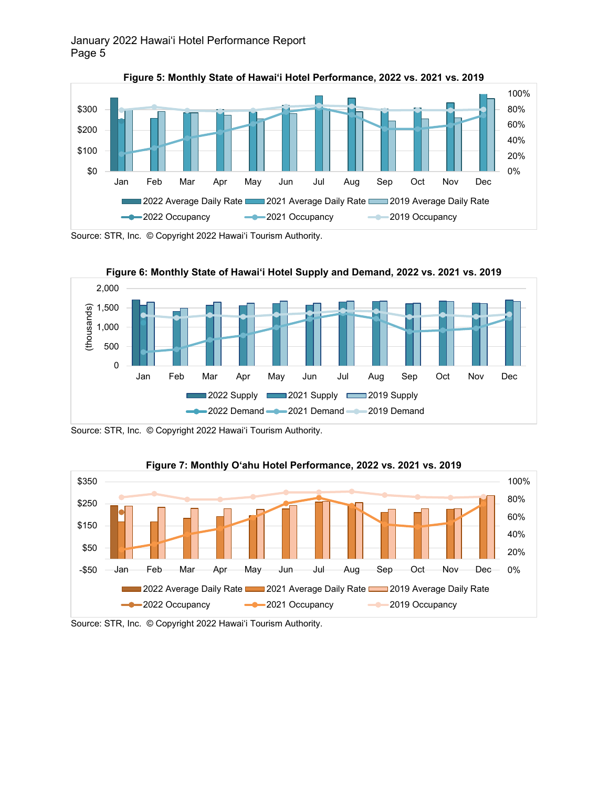

**Figure 5: Monthly State of Hawai'i Hotel Performance, 2022 vs. 2021 vs. 2019**

Source: STR, Inc. © Copyright 2022 Hawai'i Tourism Authority.



Source: STR, Inc. © Copyright 2022 Hawai'i Tourism Authority.



**Figure 7: Monthly O'ahu Hotel Performance, 2022 vs. 2021 vs. 2019**

Source: STR, Inc. © Copyright 2022 Hawai'i Tourism Authority.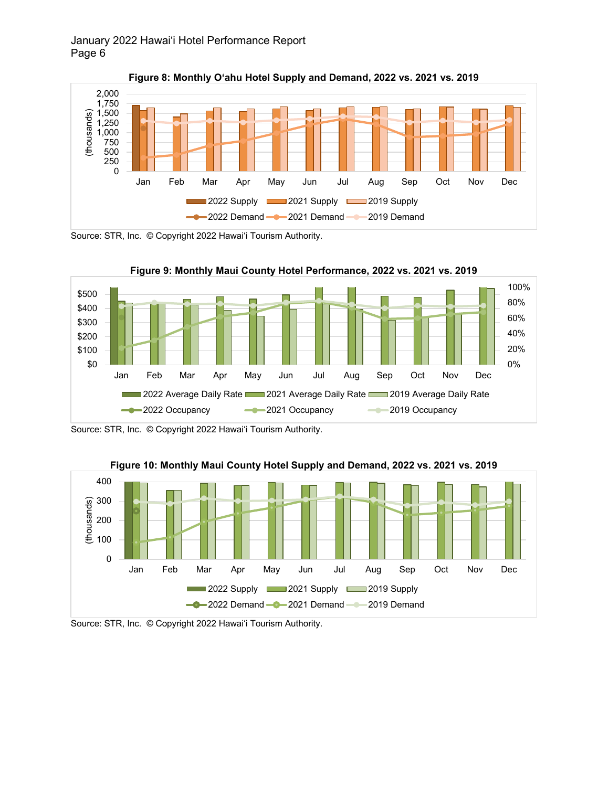

**Figure 8: Monthly O'ahu Hotel Supply and Demand, 2022 vs. 2021 vs. 2019**

Source: STR, Inc. © Copyright 2022 Hawai'i Tourism Authority.





Source: STR, Inc. © Copyright 2022 Hawai'i Tourism Authority.





Source: STR, Inc. © Copyright 2022 Hawai'i Tourism Authority.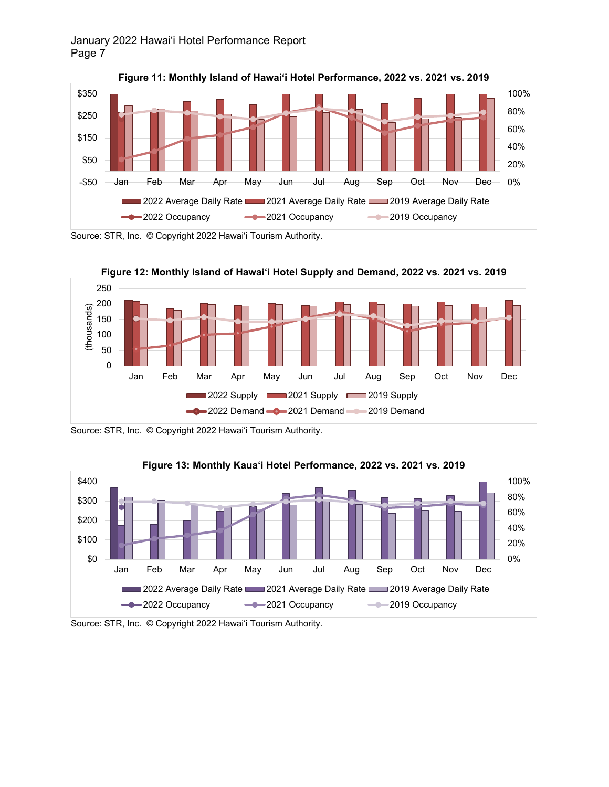



Source: STR, Inc. © Copyright 2022 Hawai'i Tourism Authority.



Source: STR, Inc. © Copyright 2022 Hawai'i Tourism Authority.



**Figure 13: Monthly Kaua'i Hotel Performance, 2022 vs. 2021 vs. 2019**

Source: STR, Inc. © Copyright 2022 Hawai'i Tourism Authority.